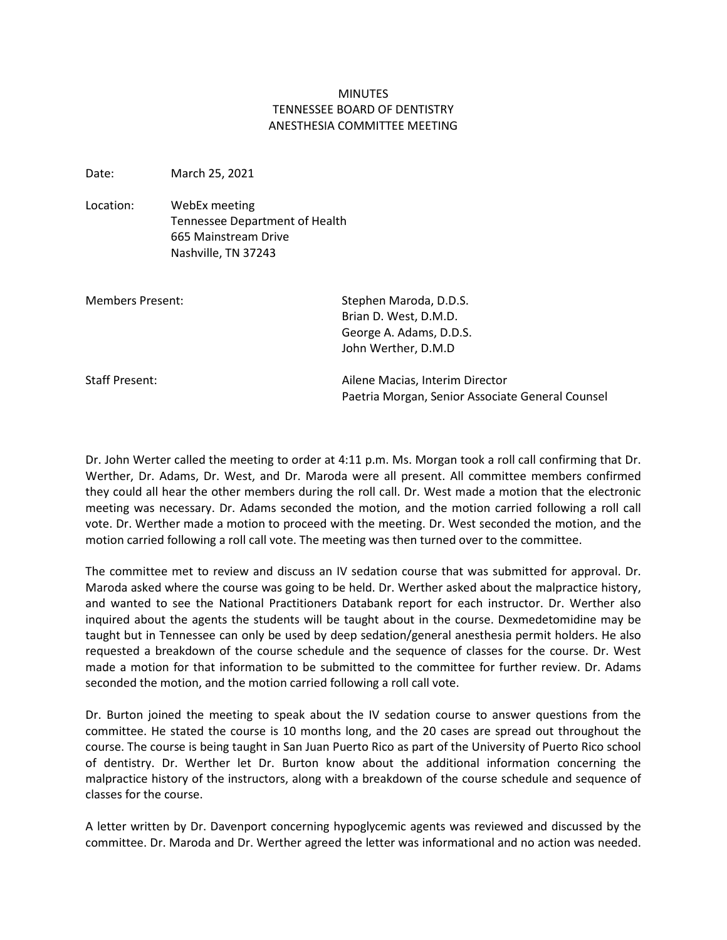## **MINUTES** TENNESSEE BOARD OF DENTISTRY ANESTHESIA COMMITTEE MEETING

Date: March 25, 2021

Location: WebEx meeting Tennessee Department of Health 665 Mainstream Drive Nashville, TN 37243

| <b>Members Present:</b> | Stephen Maroda, D.D.S.<br>Brian D. West, D.M.D.<br>George A. Adams, D.D.S.<br>John Werther, D.M.D |
|-------------------------|---------------------------------------------------------------------------------------------------|
| <b>Staff Present:</b>   | Ailene Macias, Interim Director<br>Paetria Morgan, Senior Associate General Counsel               |

Dr. John Werter called the meeting to order at 4:11 p.m. Ms. Morgan took a roll call confirming that Dr. Werther, Dr. Adams, Dr. West, and Dr. Maroda were all present. All committee members confirmed they could all hear the other members during the roll call. Dr. West made a motion that the electronic meeting was necessary. Dr. Adams seconded the motion, and the motion carried following a roll call vote. Dr. Werther made a motion to proceed with the meeting. Dr. West seconded the motion, and the motion carried following a roll call vote. The meeting was then turned over to the committee.

The committee met to review and discuss an IV sedation course that was submitted for approval. Dr. Maroda asked where the course was going to be held. Dr. Werther asked about the malpractice history, and wanted to see the National Practitioners Databank report for each instructor. Dr. Werther also inquired about the agents the students will be taught about in the course. Dexmedetomidine may be taught but in Tennessee can only be used by deep sedation/general anesthesia permit holders. He also requested a breakdown of the course schedule and the sequence of classes for the course. Dr. West made a motion for that information to be submitted to the committee for further review. Dr. Adams seconded the motion, and the motion carried following a roll call vote.

Dr. Burton joined the meeting to speak about the IV sedation course to answer questions from the committee. He stated the course is 10 months long, and the 20 cases are spread out throughout the course. The course is being taught in San Juan Puerto Rico as part of the University of Puerto Rico school of dentistry. Dr. Werther let Dr. Burton know about the additional information concerning the malpractice history of the instructors, along with a breakdown of the course schedule and sequence of classes for the course.

A letter written by Dr. Davenport concerning hypoglycemic agents was reviewed and discussed by the committee. Dr. Maroda and Dr. Werther agreed the letter was informational and no action was needed.